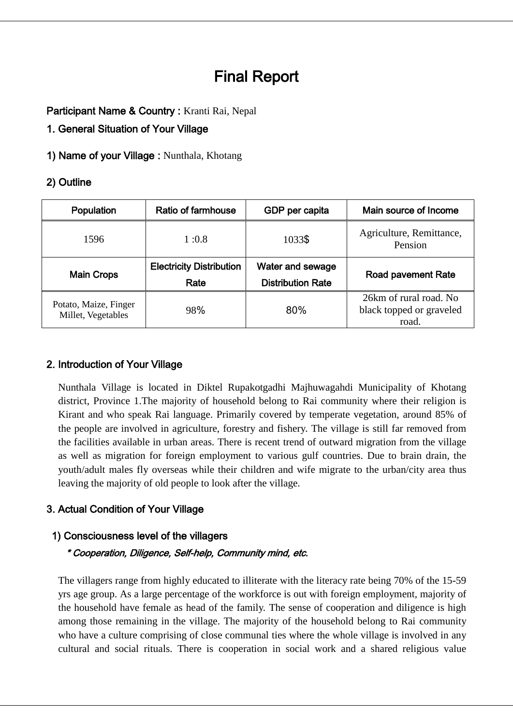# Final Report

Participant Name & Country : Kranti Rai, Nepal

1. General Situation of Your Village

1) Name of your Village : Nunthala, Khotang

### 2) Outline

| Ratio of farmhouse              | GDP per capita           | Main source of Income               |  |
|---------------------------------|--------------------------|-------------------------------------|--|
| 1:0.8                           | 1033\$                   | Agriculture, Remittance,<br>Pension |  |
| <b>Electricity Distribution</b> | Water and sewage         | <b>Road pavement Rate</b>           |  |
| Rate                            | <b>Distribution Rate</b> |                                     |  |
| 98%                             | 80%                      | 26km of rural road. No              |  |
|                                 |                          | black topped or graveled<br>road.   |  |
|                                 |                          |                                     |  |

### 2. Introduction of Your Village

Nunthala Village is located in Diktel Rupakotgadhi Majhuwagahdi Municipality of Khotang district, Province 1.The majority of household belong to Rai community where their religion is Kirant and who speak Rai language. Primarily covered by temperate vegetation, around 85% of the people are involved in agriculture, forestry and fishery. The village is still far removed from the facilities available in urban areas. There is recent trend of outward migration from the village as well as migration for foreign employment to various gulf countries. Due to brain drain, the youth/adult males fly overseas while their children and wife migrate to the urban/city area thus leaving the majority of old people to look after the village.

### 3. Actual Condition of Your Village

### 1) Consciousness level of the villagers

### \* Cooperation, Diligence, Self-help, Community mind, etc.

The villagers range from highly educated to illiterate with the literacy rate being 70% of the 15-59 yrs age group. As a large percentage of the workforce is out with foreign employment, majority of the household have female as head of the family. The sense of cooperation and diligence is high among those remaining in the village. The majority of the household belong to Rai community who have a culture comprising of close communal ties where the whole village is involved in any cultural and social rituals. There is cooperation in social work and a shared religious value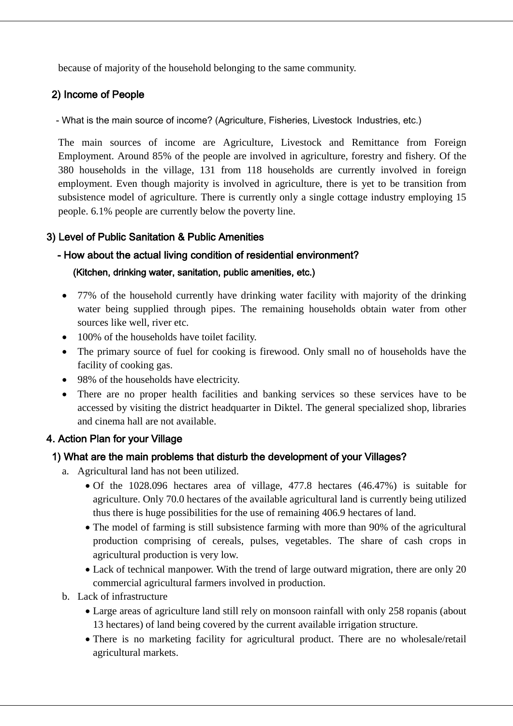because of majority of the household belonging to the same community.

### 2) Income of People

- What is the main source of income? (Agriculture, Fisheries, Livestock Industries, etc.)

The main sources of income are Agriculture, Livestock and Remittance from Foreign Employment. Around 85% of the people are involved in agriculture, forestry and fishery. Of the 380 households in the village, 131 from 118 households are currently involved in foreign employment. Even though majority is involved in agriculture, there is yet to be transition from subsistence model of agriculture. There is currently only a single cottage industry employing 15 people. 6.1% people are currently below the poverty line.

### 3) Level of Public Sanitation & Public Amenities

# - How about the actual living condition of residential environment?

#### (Kitchen, drinking water, sanitation, public amenities, etc.)

- 77% of the household currently have drinking water facility with majority of the drinking water being supplied through pipes. The remaining households obtain water from other sources like well, river etc.
- 100% of the households have toilet facility.
- The primary source of fuel for cooking is firewood. Only small no of households have the facility of cooking gas.
- 98% of the households have electricity.
- There are no proper health facilities and banking services so these services have to be accessed by visiting the district headquarter in Diktel. The general specialized shop, libraries and cinema hall are not available.

### 4. Action Plan for your Village

### 1) What are the main problems that disturb the development of your Villages?

- a. Agricultural land has not been utilized.
	- Of the 1028.096 hectares area of village, 477.8 hectares (46.47%) is suitable for agriculture. Only 70.0 hectares of the available agricultural land is currently being utilized thus there is huge possibilities for the use of remaining 406.9 hectares of land.
	- The model of farming is still subsistence farming with more than 90% of the agricultural production comprising of cereals, pulses, vegetables. The share of cash crops in agricultural production is very low.
	- Lack of technical manpower. With the trend of large outward migration, there are only 20 commercial agricultural farmers involved in production.
- b. Lack of infrastructure
	- Large areas of agriculture land still rely on monsoon rainfall with only 258 ropanis (about 13 hectares) of land being covered by the current available irrigation structure.
	- There is no marketing facility for agricultural product. There are no wholesale/retail agricultural markets.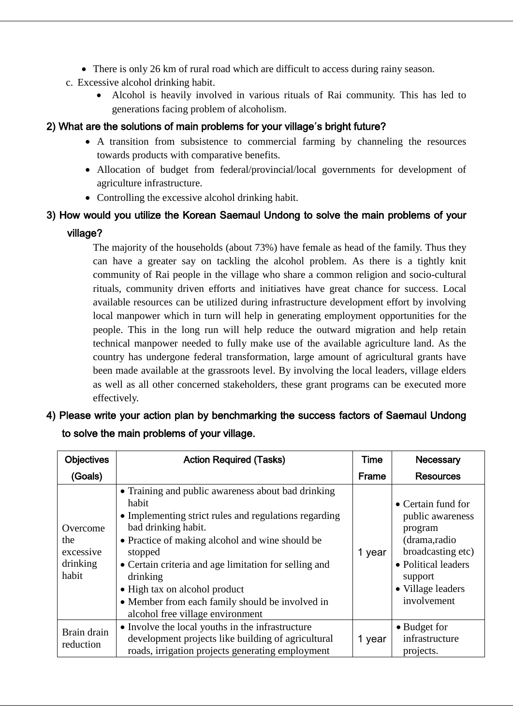- There is only 26 km of rural road which are difficult to access during rainy season.
- c. Excessive alcohol drinking habit.
	- Alcohol is heavily involved in various rituals of Rai community. This has led to generations facing problem of alcoholism.

### 2) What are the solutions of main problems for your village**'**s bright future?

- A transition from subsistence to commercial farming by channeling the resources towards products with comparative benefits.
- Allocation of budget from federal/provincial/local governments for development of agriculture infrastructure.
- Controlling the excessive alcohol drinking habit.

## 3) How would you utilize the Korean Saemaul Undong to solve the main problems of your village?

The majority of the households (about 73%) have female as head of the family. Thus they can have a greater say on tackling the alcohol problem. As there is a tightly knit community of Rai people in the village who share a common religion and socio-cultural rituals, community driven efforts and initiatives have great chance for success. Local available resources can be utilized during infrastructure development effort by involving local manpower which in turn will help in generating employment opportunities for the people. This in the long run will help reduce the outward migration and help retain technical manpower needed to fully make use of the available agriculture land. As the country has undergone federal transformation, large amount of agricultural grants have been made available at the grassroots level. By involving the local leaders, village elders as well as all other concerned stakeholders, these grant programs can be executed more effectively.

4) Please write your action plan by benchmarking the success factors of Saemaul Undong to solve the main problems of your village.

| <b>Objectives</b>                                 | <b>Action Required (Tasks)</b>                                                                                                                                                                                                                                                                                                                                                                         | <b>Time</b> | Necessary                                                                                                                                                    |
|---------------------------------------------------|--------------------------------------------------------------------------------------------------------------------------------------------------------------------------------------------------------------------------------------------------------------------------------------------------------------------------------------------------------------------------------------------------------|-------------|--------------------------------------------------------------------------------------------------------------------------------------------------------------|
| (Goals)                                           |                                                                                                                                                                                                                                                                                                                                                                                                        | Frame       | <b>Resources</b>                                                                                                                                             |
| Overcome<br>the<br>excessive<br>drinking<br>habit | • Training and public awareness about bad drinking<br>habit<br>• Implementing strict rules and regulations regarding<br>bad drinking habit.<br>• Practice of making alcohol and wine should be<br>stopped<br>• Certain criteria and age limitation for selling and<br>drinking<br>• High tax on alcohol product<br>• Member from each family should be involved in<br>alcohol free village environment | 1 year      | • Certain fund for<br>public awareness<br>program<br>(drama,radio<br>broadcasting etc)<br>• Political leaders<br>support<br>• Village leaders<br>involvement |
| Brain drain<br>reduction                          | • Involve the local youths in the infrastructure<br>development projects like building of agricultural<br>roads, irrigation projects generating employment                                                                                                                                                                                                                                             | 1 year      | • Budget for<br>infrastructure<br>projects.                                                                                                                  |